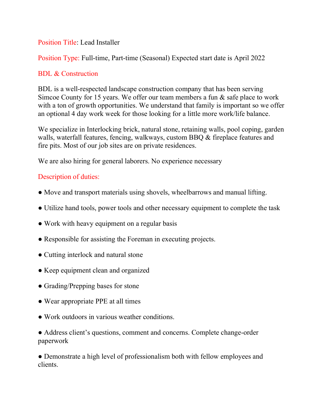#### Position Title: Lead Installer

Position Type: Full-time, Part-time (Seasonal) Expected start date is April 2022

### BDL & Construction

BDL is a well-respected landscape construction company that has been serving Simcoe County for 15 years. We offer our team members a fun & safe place to work with a ton of growth opportunities. We understand that family is important so we offer an optional 4 day work week for those looking for a little more work/life balance.

We specialize in Interlocking brick, natural stone, retaining walls, pool coping, garden walls, waterfall features, fencing, walkways, custom BBQ & fireplace features and fire pits. Most of our job sites are on private residences.

We are also hiring for general laborers. No experience necessary

## Description of duties:

- Move and transport materials using shovels, wheelbarrows and manual lifting.
- Utilize hand tools, power tools and other necessary equipment to complete the task
- Work with heavy equipment on a regular basis
- Responsible for assisting the Foreman in executing projects.
- Cutting interlock and natural stone
- Keep equipment clean and organized
- Grading/Prepping bases for stone
- Wear appropriate PPE at all times
- Work outdoors in various weather conditions.

• Address client's questions, comment and concerns. Complete change-order paperwork

• Demonstrate a high level of professionalism both with fellow employees and clients.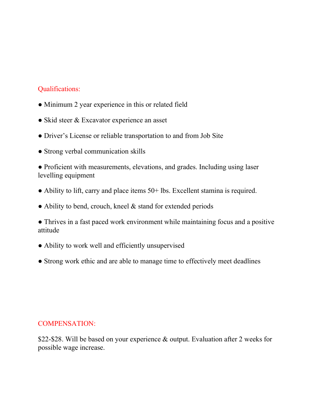## Qualifications:

- Minimum 2 year experience in this or related field
- Skid steer & Excavator experience an asset
- Driver's License or reliable transportation to and from Job Site
- Strong verbal communication skills

● Proficient with measurements, elevations, and grades. Including using laser levelling equipment

- Ability to lift, carry and place items 50+ lbs. Excellent stamina is required.
- Ability to bend, crouch, kneel & stand for extended periods

● Thrives in a fast paced work environment while maintaining focus and a positive attitude

- Ability to work well and efficiently unsupervised
- Strong work ethic and are able to manage time to effectively meet deadlines

#### COMPENSATION:

\$22-\$28. Will be based on your experience & output. Evaluation after 2 weeks for possible wage increase.